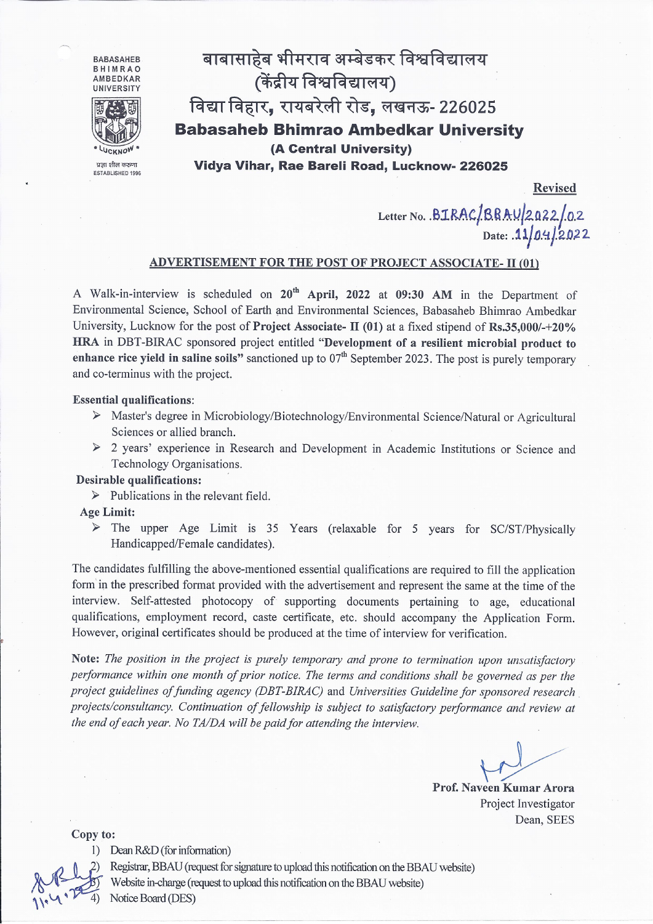

Letter No. .BIRAC/BRAU/2022/02<br>Date: .11/0.4/2022

# ADVERTISEMENT FOR THE POST OF PROJECT ASSOCIATE- II (01)

A Walk-in-interview is scheduled on 20<sup>th</sup> April, 2022 at 09:30 AM in the Department of Environmental Science, School of Earth and Environmental Sciences, Babasaheb Bhimrao Ambedkar University, Lucknow for the post of Project Associate- II (01) at a fixed stipend of Rs.35,000/-+20% HRA in DBT-BIRAC sponsored project entitled "Development of a resilient microbial product to enhance rice yield in saline soils" sanctioned up to  $07<sup>th</sup>$  September 2023. The post is purely temporary and co-terminus with the project.

#### **Essential qualifications:**

- > Master's degree in Microbiology/Biotechnology/Environmental Science/Natural or Agricultural Sciences or allied branch.
- > 2 years' experience in Research and Development in Academic Institutions or Science and Technology Organisations.

### **Desirable qualifications:**

 $\triangleright$  Publications in the relevant field.

## **Age Limit:**

The upper Age Limit is 35 Years (relaxable for 5 years for SC/ST/Physically  $\blacktriangleright$ Handicapped/Female candidates).

The candidates fulfilling the above-mentioned essential qualifications are required to fill the application form in the prescribed format provided with the advertisement and represent the same at the time of the interview. Self-attested photocopy of supporting documents pertaining to age, educational qualifications, employment record, caste certificate, etc. should accompany the Application Form. However, original certificates should be produced at the time of interview for verification.

Note: The position in the project is purely temporary and prone to termination upon unsatisfactory performance within one month of prior notice. The terms and conditions shall be governed as per the project guidelines of funding agency (DBT-BIRAC) and Universities Guideline for sponsored research projects/consultancy. Continuation of fellowship is subject to satisfactory performance and review at the end of each year. No TA/DA will be paid for attending the interview.

Prof. Naveen Kumar Arora Project Investigator Dean, SEES

Copy to:

1) Dean R&D (for information)



Registrar, BBAU (request for signature to upload this notification on the BBAU website) Website in-charge (request to upload this notification on the BBAU website) Notice Board (DES)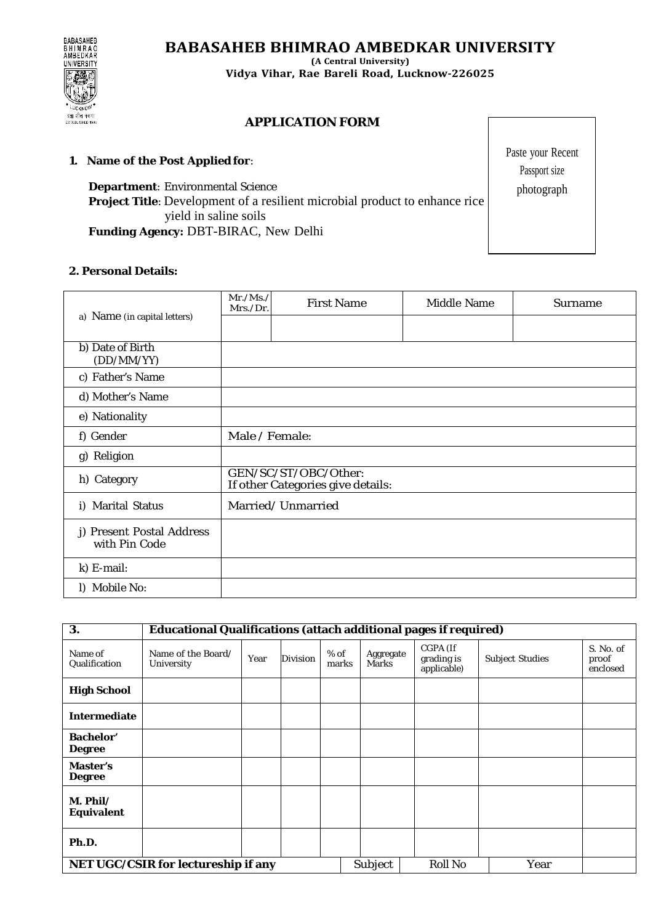**BABASAHEB BHIMRAO AMBEDKAR UNIVERSITY**

BABASAHEB<br>BHIMRAO<br>AMBEDKAR **UNIVERSITY** UCKN प्रज्ञा शील करुण ESTABLISHED 199

**(A Central University) Vidya Vihar, Rae Bareli Road, Lucknow-226025**

# **APPLICATION FORM**

# **1. Name of the Post Applied for**:

**Department**: Environmental Science **Project Title**: Development of a resilient microbial product to enhance rice yield in saline soils **Funding Agency:** DBT-BIRAC, New Delhi

## **2. Personal Details:**

| a) Name (in capital letters)               | Mr./Ms./<br>Mrs./Dr.                                      | <b>First Name</b> | <b>Middle Name</b> | <b>Surname</b> |  |  |  |
|--------------------------------------------|-----------------------------------------------------------|-------------------|--------------------|----------------|--|--|--|
|                                            |                                                           |                   |                    |                |  |  |  |
| b) Date of Birth<br>(DD/MM/YY)             |                                                           |                   |                    |                |  |  |  |
| c) Father's Name                           |                                                           |                   |                    |                |  |  |  |
| d) Mother's Name                           |                                                           |                   |                    |                |  |  |  |
| e) Nationality                             |                                                           |                   |                    |                |  |  |  |
| f) Gender                                  | Male / Female:                                            |                   |                    |                |  |  |  |
| g) Religion                                |                                                           |                   |                    |                |  |  |  |
| h) Category                                | GEN/SC/ST/OBC/Other:<br>If other Categories give details: |                   |                    |                |  |  |  |
| i) Marital Status                          |                                                           | Married/Unmarried |                    |                |  |  |  |
| j) Present Postal Address<br>with Pin Code |                                                           |                   |                    |                |  |  |  |
| k) E-mail:                                 |                                                           |                   |                    |                |  |  |  |
| l) Mobile No:                              |                                                           |                   |                    |                |  |  |  |

| 3.                                  | <b>Educational Qualifications (attach additional pages if required)</b> |      |                 |                 |                           |                                       |                        |                                |
|-------------------------------------|-------------------------------------------------------------------------|------|-----------------|-----------------|---------------------------|---------------------------------------|------------------------|--------------------------------|
| Name of<br>Qualification            | Name of the Board/<br>University                                        | Year | <b>Division</b> | $%$ of<br>marks | Aggregate<br><b>Marks</b> | CGPA (If<br>grading is<br>applicable) | <b>Subject Studies</b> | S. No. of<br>proof<br>enclosed |
| <b>High School</b>                  |                                                                         |      |                 |                 |                           |                                       |                        |                                |
| <b>Intermediate</b>                 |                                                                         |      |                 |                 |                           |                                       |                        |                                |
| <b>Bachelor'</b><br><b>Degree</b>   |                                                                         |      |                 |                 |                           |                                       |                        |                                |
| Master's<br><b>Degree</b>           |                                                                         |      |                 |                 |                           |                                       |                        |                                |
| $M.$ Phil/<br><b>Equivalent</b>     |                                                                         |      |                 |                 |                           |                                       |                        |                                |
| Ph.D.                               |                                                                         |      |                 |                 |                           |                                       |                        |                                |
| NET UGC/CSIR for lectureship if any |                                                                         |      |                 | Subject         | <b>Roll No</b>            | Year                                  |                        |                                |

Paste your Recent Passport size photograph